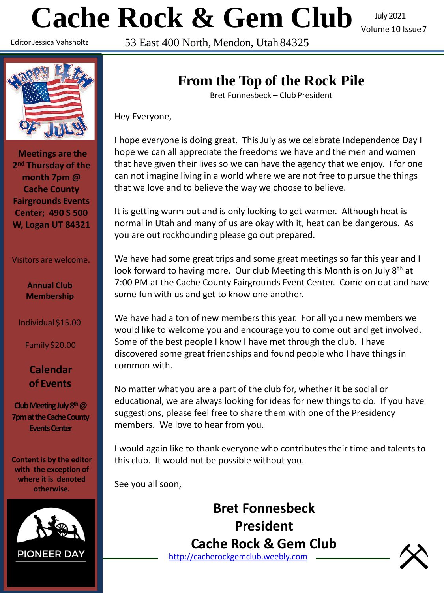# **Cache Rock & Gem Club**

Editor Jessica Vahsholtz

53 East 400 North, Mendon, Utah 84325

July 2021 Volume 10 Issue7



**Meetings are the 2 nd Thursday of the month 7pm @ Cache County Fairgrounds Events Center; 490 S 500 W, Logan UT 84321**

Visitors are welcome.

**Annual Club Membership**

Individual \$15.00

Family \$20.00

#### **Calendar of Events**

**Club Meeting July 8 th@ 7pm at the Cache County Events Center**

**Content is by the editor with the exception of where it is denoted otherwise.**



### **From the Top of the Rock Pile**

Bret Fonnesbeck – Club President

Hey Everyone,

I hope everyone is doing great. This July as we celebrate Independence Day I hope we can all appreciate the freedoms we have and the men and women that have given their lives so we can have the agency that we enjoy. I for one can not imagine living in a world where we are not free to pursue the things that we love and to believe the way we choose to believe.

It is getting warm out and is only looking to get warmer. Although heat is normal in Utah and many of us are okay with it, heat can be dangerous. As you are out rockhounding please go out prepared.

We have had some great trips and some great meetings so far this year and I look forward to having more. Our club Meeting this Month is on July  $8<sup>th</sup>$  at 7:00 PM at the Cache County Fairgrounds Event Center. Come on out and have some fun with us and get to know one another.

We have had a ton of new members this year. For all you new members we would like to welcome you and encourage you to come out and get involved. Some of the best people I know I have met through the club. I have discovered some great friendships and found people who I have things in common with.

No matter what you are a part of the club for, whether it be social or educational, we are always looking for ideas for new things to do. If you have suggestions, please feel free to share them with one of the Presidency members. We love to hear from you.

I would again like to thank everyone who contributes their time and talents to this club. It would not be possible without you.

See you all soon,

[http://cacherockgemclub.weebly.com](http://cacherockgemclub.weebly.com/) **Bret Fonnesbeck President Cache Rock & Gem Club**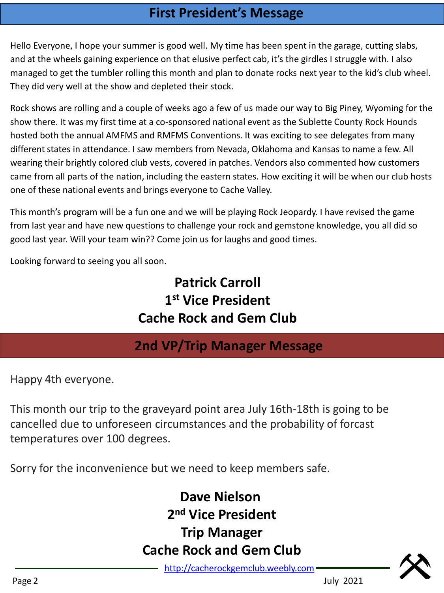### **First President's Message**

Hello Everyone, I hope your summer is good well. My time has been spent in the garage, cutting slabs, and at the wheels gaining experience on that elusive perfect cab, it's the girdles I struggle with. I also managed to get the tumbler rolling this month and plan to donate rocks next year to the kid's club wheel. They did very well at the show and depleted their stock.

Rock shows are rolling and a couple of weeks ago a few of us made our way to Big Piney, Wyoming for the show there. It was my first time at a co-sponsored national event as the Sublette County Rock Hounds hosted both the annual AMFMS and RMFMS Conventions. It was exciting to see delegates from many different states in attendance. I saw members from Nevada, Oklahoma and Kansas to name a few. All wearing their brightly colored club vests, covered in patches. Vendors also commented how customers came from all parts of the nation, including the eastern states. How exciting it will be when our club hosts one of these national events and brings everyone to Cache Valley.

This month's program will be a fun one and we will be playing Rock Jeopardy. I have revised the game from last year and have new questions to challenge your rock and gemstone knowledge, you all did so good last year. Will your team win?? Come join us for laughs and good times.

Looking forward to seeing you all soon.

### **Patrick Carroll 1 st Vice President Cache Rock and Gem Club**

### **2nd VP/Trip Manager Message**

Happy 4th everyone.

This month our trip to the graveyard point area July 16th-18th is going to be cancelled due to unforeseen circumstances and the probability of forcast temperatures over 100 degrees.

Sorry for the inconvenience but we need to keep members safe.

### **Dave Nielson 2 nd Vice President Trip Manager Cache Rock and Gem Club**

[http://cacherockgemclub.weebly.com](http://cacherockgemclub.weebly.com/)

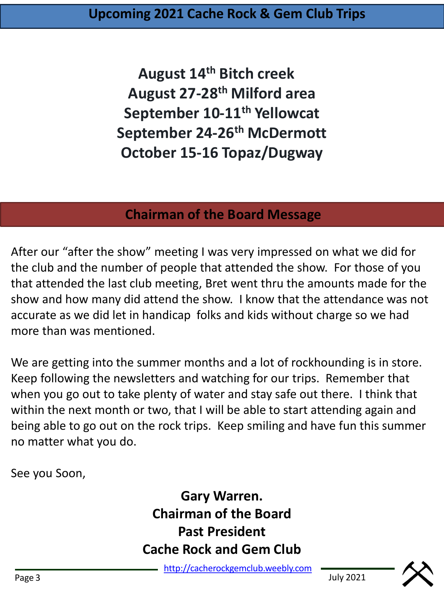**August 14th Bitch creek August 27-28th Milford area September 10-11th Yellowcat September 24-26th McDermott October 15-16 Topaz/Dugway**

### **Chairman of the Board Message**

After our "after the show" meeting I was very impressed on what we did for the club and the number of people that attended the show. For those of you that attended the last club meeting, Bret went thru the amounts made for the show and how many did attend the show. I know that the attendance was not accurate as we did let in handicap folks and kids without charge so we had more than was mentioned.

We are getting into the summer months and a lot of rockhounding is in store. Keep following the newsletters and watching for our trips. Remember that when you go out to take plenty of water and stay safe out there. I think that within the next month or two, that I will be able to start attending again and being able to go out on the rock trips. Keep smiling and have fun this summer no matter what you do.

See you Soon,

**Gary Warren. Chairman of the Board Past President Cache Rock and Gem Club**

[http://cacherockgemclub.weebly.com](http://cacherockgemclub.weebly.com/)

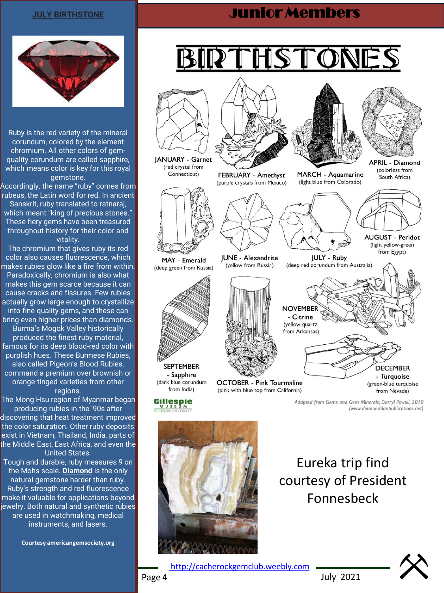#### **JULY BIRTHSTONE**

### Junior Members



Ruby is the red variety of the mineral corundum, colored by the element chromium. All other colors of gemquality corundum are called sapphire, which means color is key for this royal gemstone.

Accordingly, the name "ruby" comes from rubeus, the Latin word for red. In ancient Sanskrit, ruby translated to ratnaraj, which meant "king of precious stones. These fiery gems have been treasured throughout history for their color and vitality.

The chromium that gives ruby its red color also causes fluorescence, which makes rubies glow like a fire from within. Paradoxically, chromium is also what makes this gem scarce because it can cause cracks and fissures. Few rubies actually grow large enough to crystallize into fine quality gems, and these can bring even higher prices than diamonds. Burma's Mogok Valley historically produced the finest ruby material, famous for its deep blood-red color with purplish hues. These Burmese Rubies, also called Pigeon's Blood Rubies, command a premium over brownish or orange-tinged varieties from other regions.

The Mong Hsu region of Myanmar began producing rubies in the '90s after discovering that heat treatment improved the color saturation. Other ruby deposits exist in Vietnam, Thailand, India, parts of the Middle East, East Africa, and even the United States.

Tough and durable, ruby measures 9 on the Mohs scale. **[Diamond](https://www.americangemsociety.org/4cs-of-diamonds)** is the only natural gemstone harder than ruby. Ruby's strength and red fluorescence make it valuable for applications beyond jewelry. Both natural and synthetic rubies are used in watchmaking, medical instruments, and lasers.

**Courtesy americangemsociety.org**



(pink with blue top from California)

Adapted from Gems and Gem Minerals; Darryl Powell, 2010 (www.diamonddanpublications.net)



Eureka trip find courtesy of President Fonnesbeck



[http://cacherockgemclub.weebly.com](http://cacherockgemclub.weebly.com/)

July 2021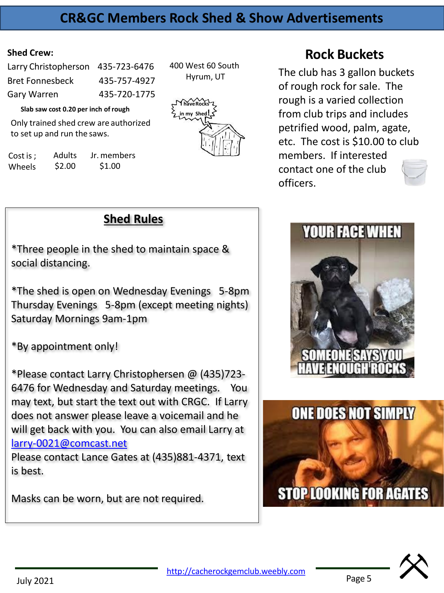### **CR&GC Members Rock Shed & Show Advertisements**

#### **Shed Crew:**

| Larry Christopherson 435-723-6476 |
|-----------------------------------|
| 435-757-4927                      |
| 435-720-1775                      |
|                                   |

400 West 60 South Hyrum, UT

**Slab saw cost 0.20 per inch ofrough**

Only trained shed crew are authorized to set up and run the saws.

Cost is ; Wheels Adults \$2.00 Jr. members \$1.00

**I haveRocks in my Shed!**

### **Rock Buckets**

The club has 3 gallon buckets of rough rock for sale. The rough is a varied collection from club trips and includes petrified wood, palm, agate, etc. The cost is \$10.00 to club members. If interested contact one of the club officers.

### **Shed Rules**

\*Three people in the shed to maintain space & social distancing.

\*The shed is open on Wednesday Evenings 5-8pm Thursday Evenings 5-8pm (except meeting nights) Saturday Mornings 9am-1pm

\*By appointment only!

\*Please contact Larry Christophersen @ (435)723- 6476 for Wednesday and Saturday meetings. You may text, but start the text out with CRGC. If Larry does not answer please leave a voicemail and he will get back with you. You can also email Larry at [larry-0021@comcast.net](mailto:larry-0021@comcast.net)

Please contact Lance Gates at (435)881-4371, text is best.

Masks can be worn, but are not required.





Page 5

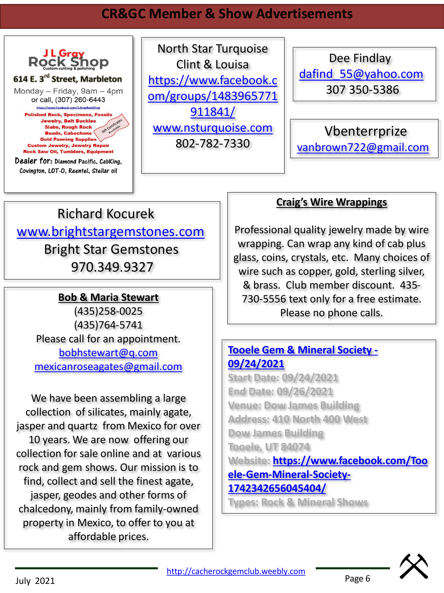### **CR&GC Member & Show Advertisements**



North Star Turquoise Clint & Louisa https://www.facebook.c [om/groups/1483965771](https://www.facebook.com/groups/1483965771911841/) 911841/ [www.nsturquoise.com](http://www.nsturquoise.com/) 802-782-7330

Dee Findlay [dafind\\_55@yahoo.com](mailto:dafind_55@yahoo.com) 307 350-5386

Vbenterrprize [vanbrown722@gmail.com](mailto:vanbrown722@gmail.com)

## Richard Kocurek [www.brightstargemstones.com](http://www.brightstargemstones.com/) Bright Star Gemstones 970.349.9327

#### **Bob & Maria Stewart**

(435)258-0025 (435)764-5741 Please call for an appointment. [bobhstewart@q.com](mailto:bobhstewart@q.com) [mexicanroseagates@gmail.com](mailto:mexicanroseagates@gmail.com)

We have been assembling a large collection of silicates, mainly agate, jasper and quartz from Mexico for over 10 years. We are now offering our collection for sale online and at various rock and gem shows. Our mission is to find, collect and sell the finest agate, jasper, geodes and other forms of chalcedony, mainly from family-owned property in Mexico, to offer to you at affordable prices.

#### **Craig's Wire Wrappings**

Professional quality jewelry made by wire wrapping. Can wrap any kind of cab plus glass, coins, crystals, etc. Many choices of wire such as copper, gold, sterling silver, & brass. Club member discount. 435- 730-5556 text only for a free estimate. Please no phone calls.

### **[Tooele Gem & Mineral Society -](https://www.rockandmineralshows.com/Search/ListingDetails/tooele-gem-mineral-society/912/false/false) 09/24/2021**

**Start Date: 09/24/2021 End Date: 09/26/2021 Venue: Dow James Building Address: 410 North 400 West Dow James Building Tooele, UT 84074 Website: [https://www.facebook.com/Too](https://www.facebook.com/Tooele-Gem-Mineral-Society-1742342656045404/) ele-Gem-Mineral-Society-1742342656045404/**

**Types: Rock & Mineral Shows**